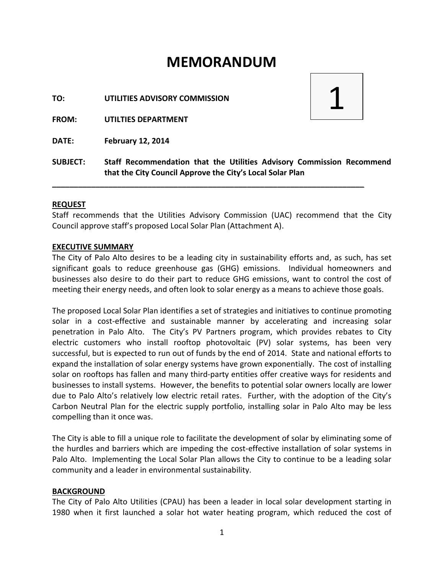# **MEMORANDUM**

**TO: UTILITIES ADVISORY COMMISSION**

**FROM: UTILTIES DEPARTMENT**

**DATE: February 12, 2014**



**SUBJECT: Staff Recommendation that the Utilities Advisory Commission Recommend that the City Council Approve the City's Local Solar Plan**

**\_\_\_\_\_\_\_\_\_\_\_\_\_\_\_\_\_\_\_\_\_\_\_\_\_\_\_\_\_\_\_\_\_\_\_\_\_\_\_\_\_\_\_\_\_\_\_\_\_\_\_\_\_\_\_\_\_\_\_\_\_\_\_\_\_\_\_\_\_\_\_\_**

#### **REQUEST**

Staff recommends that the Utilities Advisory Commission (UAC) recommend that the City Council approve staff's proposed Local Solar Plan (Attachment A).

#### **EXECUTIVE SUMMARY**

The City of Palo Alto desires to be a leading city in sustainability efforts and, as such, has set significant goals to reduce greenhouse gas (GHG) emissions. Individual homeowners and businesses also desire to do their part to reduce GHG emissions, want to control the cost of meeting their energy needs, and often look to solar energy as a means to achieve those goals.

The proposed Local Solar Plan identifies a set of strategies and initiatives to continue promoting solar in a cost-effective and sustainable manner by accelerating and increasing solar penetration in Palo Alto. The City's PV Partners program, which provides rebates to City electric customers who install rooftop photovoltaic (PV) solar systems, has been very successful, but is expected to run out of funds by the end of 2014. State and national efforts to expand the installation of solar energy systems have grown exponentially. The cost of installing solar on rooftops has fallen and many third-party entities offer creative ways for residents and businesses to install systems. However, the benefits to potential solar owners locally are lower due to Palo Alto's relatively low electric retail rates. Further, with the adoption of the City's Carbon Neutral Plan for the electric supply portfolio, installing solar in Palo Alto may be less compelling than it once was.

The City is able to fill a unique role to facilitate the development of solar by eliminating some of the hurdles and barriers which are impeding the cost-effective installation of solar systems in Palo Alto. Implementing the Local Solar Plan allows the City to continue to be a leading solar community and a leader in environmental sustainability.

#### **BACKGROUND**

The City of Palo Alto Utilities (CPAU) has been a leader in local solar development starting in 1980 when it first launched a solar hot water heating program, which reduced the cost of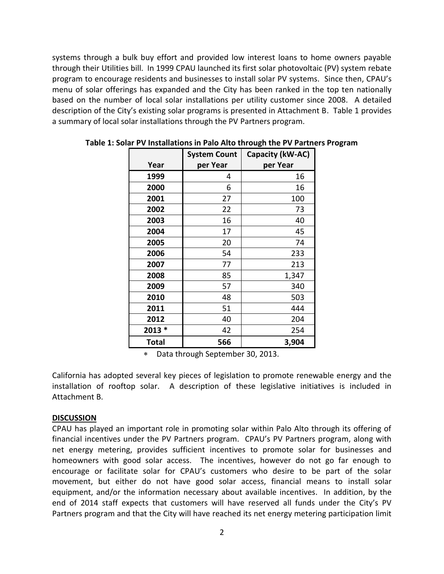systems through a bulk buy effort and provided low interest loans to home owners payable through their Utilities bill. In 1999 CPAU launched its first solar photovoltaic (PV) system rebate program to encourage residents and businesses to install solar PV systems. Since then, CPAU's menu of solar offerings has expanded and the City has been ranked in the top ten nationally based on the number of local solar installations per utility customer since 2008. A detailed description of the City's existing solar programs is presented in Attachment B. Table 1 provides a summary of local solar installations through the PV Partners program.

|        | <b>System Count</b> | Capacity (kW-AC) |
|--------|---------------------|------------------|
| Year   | per Year            | per Year         |
| 1999   | 4                   | 16               |
| 2000   | 6                   | 16               |
| 2001   | 27                  | 100              |
| 2002   | 22                  | 73               |
| 2003   | 16                  | 40               |
| 2004   | 17                  | 45               |
| 2005   | 20                  | 74               |
| 2006   | 54                  | 233              |
| 2007   | 77                  | 213              |
| 2008   | 85                  | 1,347            |
| 2009   | 57                  | 340              |
| 2010   | 48                  | 503              |
| 2011   | 51                  | 444              |
| 2012   | 40                  | 204              |
| 2013 * | 42                  | 254              |
| Total  | 566                 | 3,904            |

**Table 1: Solar PV Installations in Palo Alto through the PV Partners Program**

Data through September 30, 2013.

California has adopted several key pieces of legislation to promote renewable energy and the installation of rooftop solar. A description of these legislative initiatives is included in Attachment B.

#### **DISCUSSION**

CPAU has played an important role in promoting solar within Palo Alto through its offering of financial incentives under the PV Partners program. CPAU's PV Partners program, along with net energy metering, provides sufficient incentives to promote solar for businesses and homeowners with good solar access. The incentives, however do not go far enough to encourage or facilitate solar for CPAU's customers who desire to be part of the solar movement, but either do not have good solar access, financial means to install solar equipment, and/or the information necessary about available incentives. In addition, by the end of 2014 staff expects that customers will have reserved all funds under the City's PV Partners program and that the City will have reached its net energy metering participation limit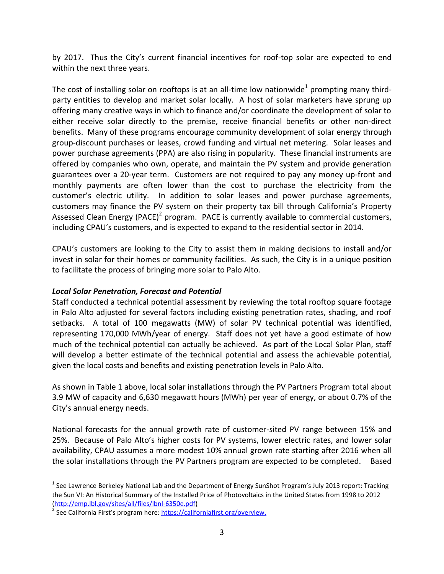by 2017. Thus the City's current financial incentives for roof-top solar are expected to end within the next three years.

The cost of installing solar on rooftops is at an all-time low nationwide<sup>1</sup> prompting many thirdparty entities to develop and market solar locally. A host of solar marketers have sprung up offering many creative ways in which to finance and/or coordinate the development of solar to either receive solar directly to the premise, receive financial benefits or other non-direct benefits. Many of these programs encourage community development of solar energy through group-discount purchases or leases, crowd funding and virtual net metering. Solar leases and power purchase agreements (PPA) are also rising in popularity. These financial instruments are offered by companies who own, operate, and maintain the PV system and provide generation guarantees over a 20-year term. Customers are not required to pay any money up-front and monthly payments are often lower than the cost to purchase the electricity from the customer's electric utility. In addition to solar leases and power purchase agreements, customers may finance the PV system on their property tax bill through California's Property Assessed Clean Energy (PACE)<sup>2</sup> program. PACE is currently available to commercial customers, including CPAU's customers, and is expected to expand to the residential sector in 2014.

CPAU's customers are looking to the City to assist them in making decisions to install and/or invest in solar for their homes or community facilities. As such, the City is in a unique position to facilitate the process of bringing more solar to Palo Alto.

# *Local Solar Penetration, Forecast and Potential*

Staff conducted a technical potential assessment by reviewing the total rooftop square footage in Palo Alto adjusted for several factors including existing penetration rates, shading, and roof setbacks. A total of 100 megawatts (MW) of solar PV technical potential was identified, representing 170,000 MWh/year of energy. Staff does not yet have a good estimate of how much of the technical potential can actually be achieved. As part of the Local Solar Plan, staff will develop a better estimate of the technical potential and assess the achievable potential, given the local costs and benefits and existing penetration levels in Palo Alto.

As shown in Table 1 above, local solar installations through the PV Partners Program total about 3.9 MW of capacity and 6,630 megawatt hours (MWh) per year of energy, or about 0.7% of the City's annual energy needs.

National forecasts for the annual growth rate of customer-sited PV range between 15% and 25%. Because of Palo Alto's higher costs for PV systems, lower electric rates, and lower solar availability, CPAU assumes a more modest 10% annual grown rate starting after 2016 when all the solar installations through the PV Partners program are expected to be completed. Based

 $\overline{a}$ 

 $^1$  See Lawrence Berkeley National Lab and the Department of Energy SunShot Program's July 2013 report: Tracking the Sun VI: An Historical Summary of the Installed Price of Photovoltaics in the United States from 1998 to 2012 [\(http://emp.lbl.gov/sites/all/files/lbnl-6350e.pdf\)](http://emp.lbl.gov/sites/all/files/lbnl-6350e.pdf)

<sup>&</sup>lt;sup>2</sup> See California First's program here: [https://californiafirst.org/overview.](https://californiafirst.org/overview)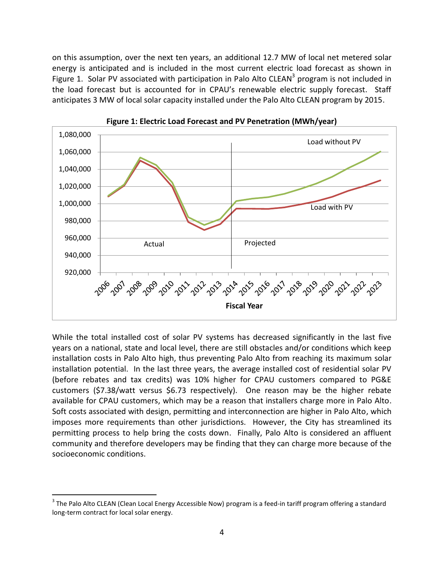on this assumption, over the next ten years, an additional 12.7 MW of local net metered solar energy is anticipated and is included in the most current electric load forecast as shown in Figure 1. Solar PV associated with participation in Palo Alto CLEAN<sup>3</sup> program is not included in the load forecast but is accounted for in CPAU's renewable electric supply forecast. Staff anticipates 3 MW of local solar capacity installed under the Palo Alto CLEAN program by 2015.





While the total installed cost of solar PV systems has decreased significantly in the last five years on a national, state and local level, there are still obstacles and/or conditions which keep installation costs in Palo Alto high, thus preventing Palo Alto from reaching its maximum solar installation potential. In the last three years, the average installed cost of residential solar PV (before rebates and tax credits) was 10% higher for CPAU customers compared to PG&E customers (\$7.38/watt versus \$6.73 respectively). One reason may be the higher rebate available for CPAU customers, which may be a reason that installers charge more in Palo Alto. Soft costs associated with design, permitting and interconnection are higher in Palo Alto, which imposes more requirements than other jurisdictions. However, the City has streamlined its permitting process to help bring the costs down. Finally, Palo Alto is considered an affluent community and therefore developers may be finding that they can charge more because of the socioeconomic conditions.

 $\overline{a}$ 

 $^3$  The Palo Alto CLEAN (Clean Local Energy Accessible Now) program is a feed-in tariff program offering a standard long-term contract for local solar energy.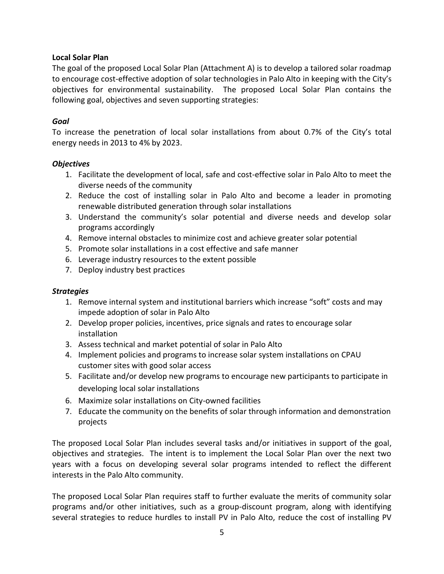# **Local Solar Plan**

The goal of the proposed Local Solar Plan (Attachment A) is to develop a tailored solar roadmap to encourage cost-effective adoption of solar technologies in Palo Alto in keeping with the City's objectives for environmental sustainability. The proposed Local Solar Plan contains the following goal, objectives and seven supporting strategies:

### *Goal*

To increase the penetration of local solar installations from about 0.7% of the City's total energy needs in 2013 to 4% by 2023.

### *Objectives*

- 1. Facilitate the development of local, safe and cost-effective solar in Palo Alto to meet the diverse needs of the community
- 2. Reduce the cost of installing solar in Palo Alto and become a leader in promoting renewable distributed generation through solar installations
- 3. Understand the community's solar potential and diverse needs and develop solar programs accordingly
- 4. Remove internal obstacles to minimize cost and achieve greater solar potential
- 5. Promote solar installations in a cost effective and safe manner
- 6. Leverage industry resources to the extent possible
- 7. Deploy industry best practices

### *Strategies*

- 1. Remove internal system and institutional barriers which increase "soft" costs and may impede adoption of solar in Palo Alto
- 2. Develop proper policies, incentives, price signals and rates to encourage solar installation
- 3. Assess technical and market potential of solar in Palo Alto
- 4. Implement policies and programs to increase solar system installations on CPAU customer sites with good solar access
- 5. Facilitate and/or develop new programs to encourage new participants to participate in developing local solar installations
- 6. Maximize solar installations on City-owned facilities
- 7. Educate the community on the benefits of solar through information and demonstration projects

The proposed Local Solar Plan includes several tasks and/or initiatives in support of the goal, objectives and strategies. The intent is to implement the Local Solar Plan over the next two years with a focus on developing several solar programs intended to reflect the different interests in the Palo Alto community.

The proposed Local Solar Plan requires staff to further evaluate the merits of community solar programs and/or other initiatives, such as a group-discount program, along with identifying several strategies to reduce hurdles to install PV in Palo Alto, reduce the cost of installing PV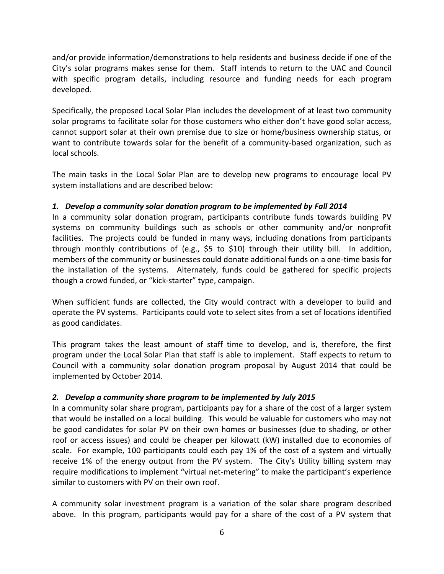and/or provide information/demonstrations to help residents and business decide if one of the City's solar programs makes sense for them. Staff intends to return to the UAC and Council with specific program details, including resource and funding needs for each program developed.

Specifically, the proposed Local Solar Plan includes the development of at least two community solar programs to facilitate solar for those customers who either don't have good solar access, cannot support solar at their own premise due to size or home/business ownership status, or want to contribute towards solar for the benefit of a community-based organization, such as local schools.

The main tasks in the Local Solar Plan are to develop new programs to encourage local PV system installations and are described below:

# *1. Develop a community solar donation program to be implemented by Fall 2014*

In a community solar donation program, participants contribute funds towards building PV systems on community buildings such as schools or other community and/or nonprofit facilities. The projects could be funded in many ways, including donations from participants through monthly contributions of (e.g., \$5 to \$10) through their utility bill. In addition, members of the community or businesses could donate additional funds on a one-time basis for the installation of the systems. Alternately, funds could be gathered for specific projects though a crowd funded, or "kick-starter" type, campaign.

When sufficient funds are collected, the City would contract with a developer to build and operate the PV systems. Participants could vote to select sites from a set of locations identified as good candidates.

This program takes the least amount of staff time to develop, and is, therefore, the first program under the Local Solar Plan that staff is able to implement. Staff expects to return to Council with a community solar donation program proposal by August 2014 that could be implemented by October 2014.

# *2. Develop a community share program to be implemented by July 2015*

In a community solar share program, participants pay for a share of the cost of a larger system that would be installed on a local building. This would be valuable for customers who may not be good candidates for solar PV on their own homes or businesses (due to shading, or other roof or access issues) and could be cheaper per kilowatt (kW) installed due to economies of scale. For example, 100 participants could each pay 1% of the cost of a system and virtually receive 1% of the energy output from the PV system. The City's Utility billing system may require modifications to implement "virtual net-metering" to make the participant's experience similar to customers with PV on their own roof.

A community solar investment program is a variation of the solar share program described above. In this program, participants would pay for a share of the cost of a PV system that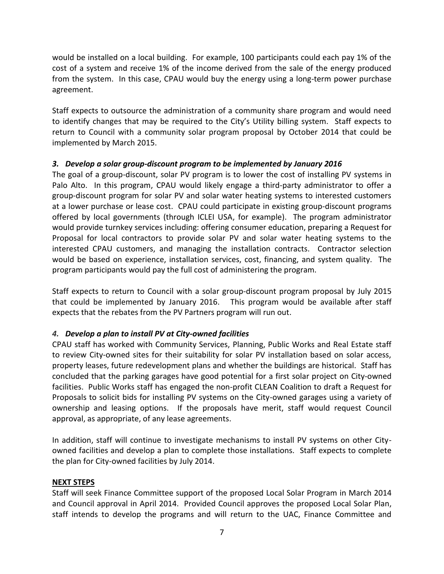would be installed on a local building. For example, 100 participants could each pay 1% of the cost of a system and receive 1% of the income derived from the sale of the energy produced from the system. In this case, CPAU would buy the energy using a long-term power purchase agreement.

Staff expects to outsource the administration of a community share program and would need to identify changes that may be required to the City's Utility billing system. Staff expects to return to Council with a community solar program proposal by October 2014 that could be implemented by March 2015.

# *3. Develop a solar group-discount program to be implemented by January 2016*

The goal of a group-discount, solar PV program is to lower the cost of installing PV systems in Palo Alto. In this program, CPAU would likely engage a third-party administrator to offer a group-discount program for solar PV and solar water heating systems to interested customers at a lower purchase or lease cost. CPAU could participate in existing group-discount programs offered by local governments (through ICLEI USA, for example). The program administrator would provide turnkey services including: offering consumer education, preparing a Request for Proposal for local contractors to provide solar PV and solar water heating systems to the interested CPAU customers, and managing the installation contracts. Contractor selection would be based on experience, installation services, cost, financing, and system quality. The program participants would pay the full cost of administering the program.

Staff expects to return to Council with a solar group-discount program proposal by July 2015 that could be implemented by January 2016. This program would be available after staff expects that the rebates from the PV Partners program will run out.

# *4. Develop a plan to install PV at City-owned facilities*

CPAU staff has worked with Community Services, Planning, Public Works and Real Estate staff to review City-owned sites for their suitability for solar PV installation based on solar access, property leases, future redevelopment plans and whether the buildings are historical. Staff has concluded that the parking garages have good potential for a first solar project on City-owned facilities. Public Works staff has engaged the non-profit CLEAN Coalition to draft a Request for Proposals to solicit bids for installing PV systems on the City-owned garages using a variety of ownership and leasing options. If the proposals have merit, staff would request Council approval, as appropriate, of any lease agreements.

In addition, staff will continue to investigate mechanisms to install PV systems on other Cityowned facilities and develop a plan to complete those installations. Staff expects to complete the plan for City-owned facilities by July 2014.

# **NEXT STEPS**

Staff will seek Finance Committee support of the proposed Local Solar Program in March 2014 and Council approval in April 2014. Provided Council approves the proposed Local Solar Plan, staff intends to develop the programs and will return to the UAC, Finance Committee and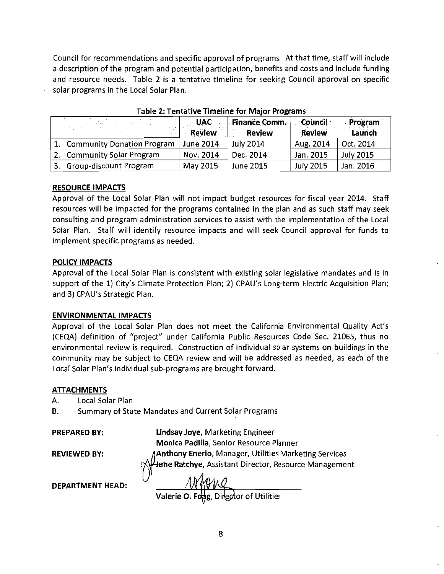Council for recommendations and specific approval of programs. At that time, staff will include a description of the program and potential participation, benefits and costs and include funding and resource needs. Table 2 is a tentative timeline for seeking Council approval on specific solar programs in the Local Solar Plan.

|    |                               | <b>UAC</b><br><b>Review</b> | Finance Comm.<br>Review | <b>Council</b><br><b>Review</b> | Program<br>Launch |
|----|-------------------------------|-----------------------------|-------------------------|---------------------------------|-------------------|
|    | 1. Community Donation Program | June 2014                   | <b>July 2014</b>        | Aug. 2014                       | Oct. 2014         |
|    | 2. Community Solar Program    | Nov. 2014                   | Dec. 2014               | Jan. 2015                       | <b>July 2015</b>  |
| 3. | Group-discount Program        | May 2015                    | <b>June 2015</b>        | <b>July 2015</b>                | Jan. 2016         |

Table 2: Tentative Timeline for Major Programs

#### RESOURCE IMPACTS

Approval of the Local Solar Plan will not impact budget resources for fiscal year 2014. Staff resources will be impacted for the programs contained in the plan and as such staff may seek consulting and program administration services to assist with the implementation of the Local Solar Plan. Staff will identify resource impacts and will seek Council approval for funds to implement specific programs as needed.

### POLICY IMPACTS

Approval of the Local Solar Plan is consistent with existing solar legislative mandates and is in support of the 1) City's Climate Protection Plan; 2) CPAU's Long-term Electric Acquisition Plan; and 3) CPAU's Strategic Plan.

### ENVIRONMENTAL IMPACTS

Approval of the Local Solar Plan does not meet the California Environmental Quality Act's (CEQA) definition of "project" under California Public Resources Code Sec. 21065, thus no environmental review is required. Construction of individual solar systems on buildings in the community may be subject to CEQA review and will be addressed as needed, as each of the Local Solar Plan's individual sub-programs are brought forward.

#### **ATTACHMENTS**

A. Local Solar Plan

B. Summary of State Mandates and Current Solar Programs

PREPARED BY:

Lindsay Joye, Marketing Engineer Monica Padilla, Senior Resource Planner Anthony Enerio, Manager, Utilities Marketing Services<br><del>Ja</del>ńe Ratchye, Assistant Director, Resource Management

REVIEWED BY:

DEPARTMENT HEAD:

MAVING<br>Valerie O. Formg, Director of Utilities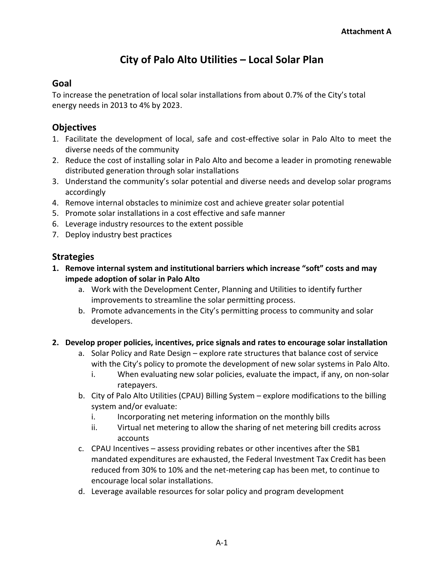# **City of Palo Alto Utilities – Local Solar Plan**

# **Goal**

To increase the penetration of local solar installations from about 0.7% of the City's total energy needs in 2013 to 4% by 2023.

# **Objectives**

- 1. Facilitate the development of local, safe and cost-effective solar in Palo Alto to meet the diverse needs of the community
- 2. Reduce the cost of installing solar in Palo Alto and become a leader in promoting renewable distributed generation through solar installations
- 3. Understand the community's solar potential and diverse needs and develop solar programs accordingly
- 4. Remove internal obstacles to minimize cost and achieve greater solar potential
- 5. Promote solar installations in a cost effective and safe manner
- 6. Leverage industry resources to the extent possible
- 7. Deploy industry best practices

# **Strategies**

- **1. Remove internal system and institutional barriers which increase "soft" costs and may impede adoption of solar in Palo Alto** 
	- a. Work with the Development Center, Planning and Utilities to identify further improvements to streamline the solar permitting process.
	- b. Promote advancements in the City's permitting process to community and solar developers.
- **2. Develop proper policies, incentives, price signals and rates to encourage solar installation** 
	- a. Solar Policy and Rate Design explore rate structures that balance cost of service with the City's policy to promote the development of new solar systems in Palo Alto.
		- i. When evaluating new solar policies, evaluate the impact, if any, on non-solar ratepayers.
	- b. City of Palo Alto Utilities (CPAU) Billing System explore modifications to the billing system and/or evaluate:
		- i. Incorporating net metering information on the monthly bills
		- ii. Virtual net metering to allow the sharing of net metering bill credits across accounts
	- c. CPAU Incentives assess providing rebates or other incentives after the SB1 mandated expenditures are exhausted, the Federal Investment Tax Credit has been reduced from 30% to 10% and the net-metering cap has been met, to continue to encourage local solar installations.
	- d. Leverage available resources for solar policy and program development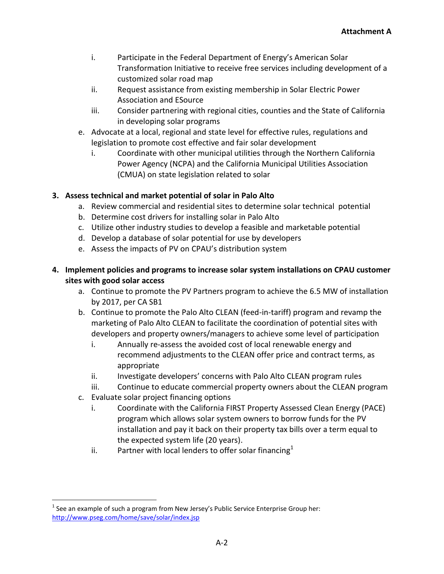- i. Participate in the Federal Department of Energy's American Solar Transformation Initiative to receive free services including development of a customized solar road map
- ii. Request assistance from existing membership in Solar Electric Power Association and ESource
- iii. Consider partnering with regional cities, counties and the State of California in developing solar programs
- e. Advocate at a local, regional and state level for effective rules, regulations and legislation to promote cost effective and fair solar development
	- i. Coordinate with other municipal utilities through the Northern California Power Agency (NCPA) and the California Municipal Utilities Association (CMUA) on state legislation related to solar

# **3. Assess technical and market potential of solar in Palo Alto**

- a. Review commercial and residential sites to determine solar technical potential
- b. Determine cost drivers for installing solar in Palo Alto
- c. Utilize other industry studies to develop a feasible and marketable potential
- d. Develop a database of solar potential for use by developers
- e. Assess the impacts of PV on CPAU's distribution system
- **4. Implement policies and programs to increase solar system installations on CPAU customer sites with good solar access**
	- a. Continue to promote the PV Partners program to achieve the 6.5 MW of installation by 2017, per CA SB1
	- b. Continue to promote the Palo Alto CLEAN (feed-in-tariff) program and revamp the marketing of Palo Alto CLEAN to facilitate the coordination of potential sites with developers and property owners/managers to achieve some level of participation
		- i. Annually re-assess the avoided cost of local renewable energy and recommend adjustments to the CLEAN offer price and contract terms, as appropriate
		- ii. Investigate developers' concerns with Palo Alto CLEAN program rules
		- iii. Continue to educate commercial property owners about the CLEAN program
	- c. Evaluate solar project financing options

 $\overline{a}$ 

- i. Coordinate with the California FIRST Property Assessed Clean Energy (PACE) program which allows solar system owners to borrow funds for the PV installation and pay it back on their property tax bills over a term equal to the expected system life (20 years).
- ii. Partner with local lenders to offer solar financing<sup>1</sup>

 $^{\text{1}}$  See an example of such a program from New Jersey's Public Service Enterprise Group her: <http://www.pseg.com/home/save/solar/index.jsp>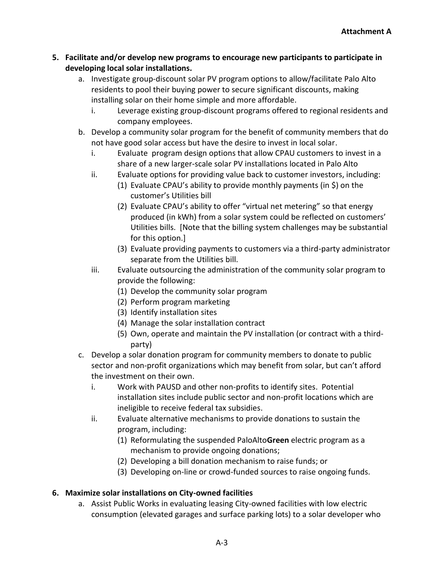- **5. Facilitate and/or develop new programs to encourage new participants to participate in developing local solar installations.**
	- a. Investigate group-discount solar PV program options to allow/facilitate Palo Alto residents to pool their buying power to secure significant discounts, making installing solar on their home simple and more affordable.
		- i. Leverage existing group-discount programs offered to regional residents and company employees.
	- b. Develop a community solar program for the benefit of community members that do not have good solar access but have the desire to invest in local solar.
		- i. Evaluate program design options that allow CPAU customers to invest in a share of a new larger-scale solar PV installations located in Palo Alto
		- ii. Evaluate options for providing value back to customer investors, including:
			- (1) Evaluate CPAU's ability to provide monthly payments (in \$) on the customer's Utilities bill
			- (2) Evaluate CPAU's ability to offer "virtual net metering" so that energy produced (in kWh) from a solar system could be reflected on customers' Utilities bills. [Note that the billing system challenges may be substantial for this option.]
			- (3) Evaluate providing payments to customers via a third-party administrator separate from the Utilities bill.
		- iii. Evaluate outsourcing the administration of the community solar program to provide the following:
			- (1) Develop the community solar program
			- (2) Perform program marketing
			- (3) Identify installation sites
			- (4) Manage the solar installation contract
			- (5) Own, operate and maintain the PV installation (or contract with a thirdparty)
	- c. Develop a solar donation program for community members to donate to public sector and non-profit organizations which may benefit from solar, but can't afford the investment on their own.
		- i. Work with PAUSD and other non-profits to identify sites. Potential installation sites include public sector and non-profit locations which are ineligible to receive federal tax subsidies.
		- ii. Evaluate alternative mechanisms to provide donations to sustain the program, including:
			- (1) Reformulating the suspended PaloAlto**Green** electric program as a mechanism to provide ongoing donations;
			- (2) Developing a bill donation mechanism to raise funds; or
			- (3) Developing on-line or crowd-funded sources to raise ongoing funds.

# **6. Maximize solar installations on City-owned facilities**

a. Assist Public Works in evaluating leasing City-owned facilities with low electric consumption (elevated garages and surface parking lots) to a solar developer who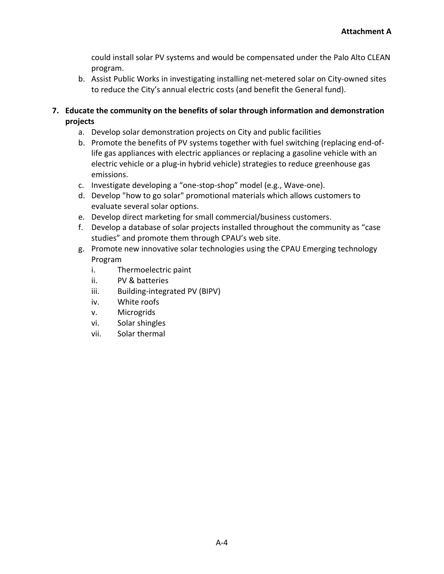could install solar PV systems and would be compensated under the Palo Alto CLEAN program.

b. Assist Public Works in investigating installing net-metered solar on City-owned sites to reduce the City's annual electric costs (and benefit the General fund).

# **7. Educate the community on the benefits of solar through information and demonstration projects**

- a. Develop solar demonstration projects on City and public facilities
- b. Promote the benefits of PV systems together with fuel switching (replacing end-oflife gas appliances with electric appliances or replacing a gasoline vehicle with an electric vehicle or a plug-in hybrid vehicle) strategies to reduce greenhouse gas emissions.
- c. Investigate developing a "one-stop-shop" model (e.g., Wave-one).
- d. Develop "how to go solar" promotional materials which allows customers to evaluate several solar options.
- e. Develop direct marketing for small commercial/business customers.
- f. Develop a database of solar projects installed throughout the community as "case studies" and promote them through CPAU's web site.
- g. Promote new innovative solar technologies using the CPAU Emerging technology Program
	- i. Thermoelectric paint
	- ii. PV & batteries
	- iii. Building-integrated PV (BIPV)
	- iv. White roofs
	- v. Microgrids
	- vi. Solar shingles
	- vii. Solar thermal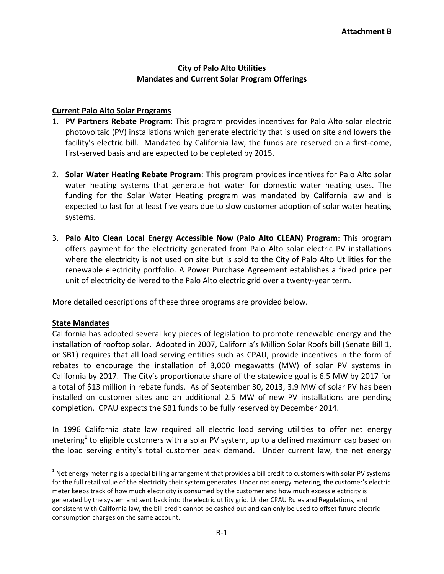# **City of Palo Alto Utilities Mandates and Current Solar Program Offerings**

# **Current Palo Alto Solar Programs**

- 1. **PV Partners Rebate Program**: This program provides incentives for Palo Alto solar electric photovoltaic (PV) installations which generate electricity that is used on site and lowers the facility's electric bill. Mandated by California law, the funds are reserved on a first-come, first-served basis and are expected to be depleted by 2015.
- 2. **Solar Water Heating Rebate Program**: This program provides incentives for Palo Alto solar water heating systems that generate hot water for domestic water heating uses. The funding for the Solar Water Heating program was mandated by California law and is expected to last for at least five years due to slow customer adoption of solar water heating systems.
- 3. **Palo Alto Clean Local Energy Accessible Now (Palo Alto CLEAN) Program**: This program offers payment for the electricity generated from Palo Alto solar electric PV installations where the electricity is not used on site but is sold to the City of Palo Alto Utilities for the renewable electricity portfolio. A Power Purchase Agreement establishes a fixed price per unit of electricity delivered to the Palo Alto electric grid over a twenty-year term.

More detailed descriptions of these three programs are provided below.

### **State Mandates**

 $\overline{a}$ 

California has adopted several key pieces of legislation to promote renewable energy and the installation of rooftop solar. Adopted in 2007, California's Million Solar Roofs bill (Senate Bill 1, or SB1) requires that all load serving entities such as CPAU, provide incentives in the form of rebates to encourage the installation of 3,000 megawatts (MW) of solar PV systems in California by 2017. The City's proportionate share of the statewide goal is 6.5 MW by 2017 for a total of \$13 million in rebate funds. As of September 30, 2013, 3.9 MW of solar PV has been installed on customer sites and an additional 2.5 MW of new PV installations are pending completion. CPAU expects the SB1 funds to be fully reserved by December 2014.

In 1996 California state law required all electric load serving utilities to offer net energy metering<sup>1</sup> to eligible customers with a solar PV system, up to a defined maximum cap based on the load serving entity's total customer peak demand. Under current law, the net energy

 $^1$  Net energy metering is a special billing arrangement that provides a bill credit to customers with solar PV systems for the full retail value of the electricity their system generates. Under net energy metering, the customer's electric meter keeps track of how much electricity is consumed by the customer and how much excess electricity is generated by the system and sent back into the electric utility grid. Under CPAU Rules and Regulations, and consistent with California law, the bill credit cannot be cashed out and can only be used to offset future electric consumption charges on the same account.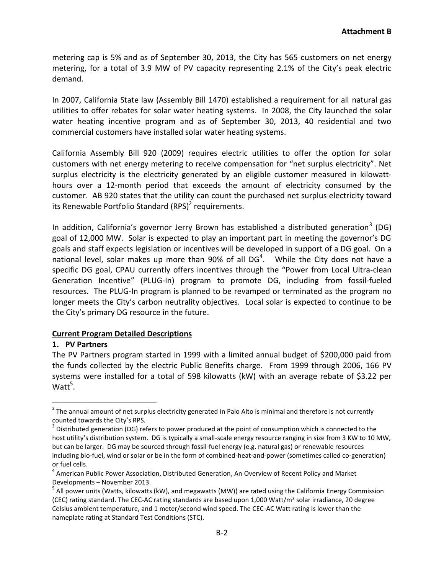metering cap is 5% and as of September 30, 2013, the City has 565 customers on net energy metering, for a total of 3.9 MW of PV capacity representing 2.1% of the City's peak electric demand.

In 2007, California State law (Assembly Bill 1470) established a requirement for all natural gas utilities to offer rebates for solar water heating systems. In 2008, the City launched the solar water heating incentive program and as of September 30, 2013, 40 residential and two commercial customers have installed solar water heating systems.

California Assembly Bill 920 (2009) requires electric utilities to offer the option for solar customers with net energy metering to receive compensation for "net surplus electricity". Net surplus electricity is the electricity generated by an eligible customer measured in kilowatthours over a 12-month period that exceeds the amount of electricity consumed by the customer. AB 920 states that the utility can count the purchased net surplus electricity toward its Renewable Portfolio Standard (RPS)<sup>2</sup> requirements.

In addition, California's governor Jerry Brown has established a distributed generation<sup>3</sup> (DG) goal of 12,000 MW. Solar is expected to play an important part in meeting the governor's DG goals and staff expects legislation or incentives will be developed in support of a DG goal. On a national level, solar makes up more than 90% of all DG<sup>4</sup>. While the City does not have a specific DG goal, CPAU currently offers incentives through the "Power from Local Ultra-clean Generation Incentive" (PLUG-In) program to promote DG, including from fossil-fueled resources. The PLUG-In program is planned to be revamped or terminated as the program no longer meets the City's carbon neutrality objectives. Local solar is expected to continue to be the City's primary DG resource in the future.

### **Current Program Detailed Descriptions**

### **1. PV Partners**

 $\overline{a}$ 

The PV Partners program started in 1999 with a limited annual budget of \$200,000 paid from the funds collected by the electric Public Benefits charge. From 1999 through 2006, 166 PV systems were installed for a total of 598 kilowatts (kW) with an average rebate of \$3.22 per  $\mathsf{Watt}^5.$ 

 $2$  The annual amount of net surplus electricity generated in Palo Alto is minimal and therefore is not currently counted towards the City's RPS.

 $3$  Distributed generation (DG) refers to power produced at the point of consumption which is connected to the host utility's distribution system. DG is typically a small-scale energy resource ranging in size from 3 KW to 10 MW, but can be larger. DG may be sourced through fossil-fuel energy (e.g. natural gas) or renewable resources including bio-fuel, wind or solar or be in the form of combined-heat-and-power (sometimes called co-generation) or fuel cells.

<sup>&</sup>lt;sup>4</sup> American Public Power Association, Distributed Generation, An Overview of Recent Policy and Market Developments – November 2013.

<sup>&</sup>lt;sup>5</sup> All power units (Watts, kilowatts (kW), and megawatts (MW)) are rated using the California Energy Commission (CEC) rating standard. The CEC-AC rating standards are based upon 1,000 Watt/m² solar irradiance, 20 degree Celsius ambient temperature, and 1 meter/second wind speed. The CEC-AC Watt rating is lower than the nameplate rating at Standard Test Conditions (STC).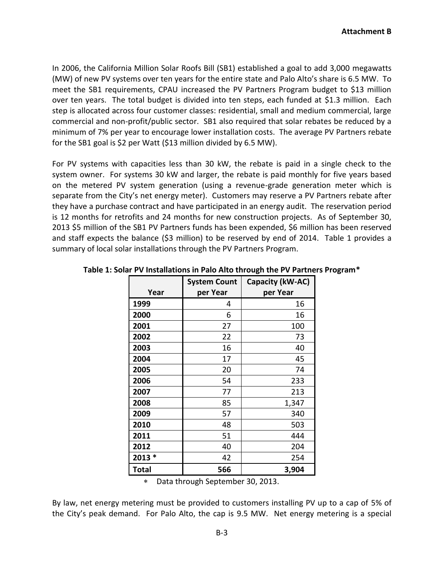In 2006, the California Million Solar Roofs Bill (SB1) established a goal to add 3,000 megawatts (MW) of new PV systems over ten years for the entire state and Palo Alto's share is 6.5 MW. To meet the SB1 requirements, CPAU increased the PV Partners Program budget to \$13 million over ten years. The total budget is divided into ten steps, each funded at \$1.3 million. Each step is allocated across four customer classes: residential, small and medium commercial, large commercial and non-profit/public sector. SB1 also required that solar rebates be reduced by a minimum of 7% per year to encourage lower installation costs. The average PV Partners rebate for the SB1 goal is \$2 per Watt (\$13 million divided by 6.5 MW).

For PV systems with capacities less than 30 kW, the rebate is paid in a single check to the system owner. For systems 30 kW and larger, the rebate is paid monthly for five years based on the metered PV system generation (using a revenue-grade generation meter which is separate from the City's net energy meter). Customers may reserve a PV Partners rebate after they have a purchase contract and have participated in an energy audit. The reservation period is 12 months for retrofits and 24 months for new construction projects. As of September 30, 2013 \$5 million of the SB1 PV Partners funds has been expended, \$6 million has been reserved and staff expects the balance (\$3 million) to be reserved by end of 2014. Table 1 provides a summary of local solar installations through the PV Partners Program.

|              | <b>System Count</b> | Capacity (kW-AC) |
|--------------|---------------------|------------------|
| Year         | per Year            | per Year         |
| 1999         | 4                   | 16               |
| 2000         | 6                   | 16               |
| 2001         | 27                  | 100              |
| 2002         | 22                  | 73               |
| 2003         | 16                  | 40               |
| 2004         | 17                  | 45               |
| 2005         | 20                  | 74               |
| 2006         | 54                  | 233              |
| 2007         | 77                  | 213              |
| 2008         | 85                  | 1,347            |
| 2009         | 57                  | 340              |
| 2010         | 48                  | 503              |
| 2011         | 51                  | 444              |
| 2012         | 40                  | 204              |
| 2013 *       | 42                  | 254              |
| <b>Total</b> | 566                 | 3,904            |

**Table 1: Solar PV Installations in Palo Alto through the PV Partners Program\***

Data through September 30, 2013.

By law, net energy metering must be provided to customers installing PV up to a cap of 5% of the City's peak demand. For Palo Alto, the cap is 9.5 MW. Net energy metering is a special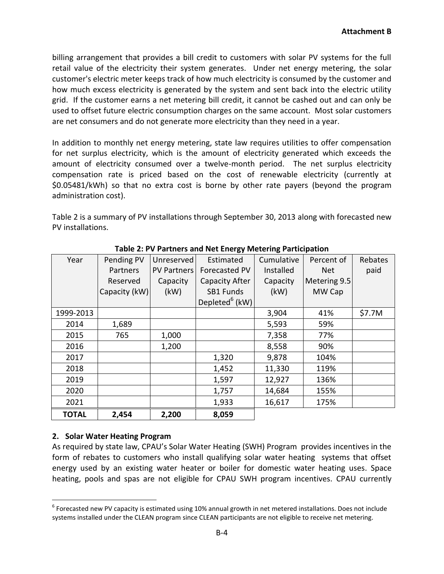billing arrangement that provides a bill credit to customers with solar PV systems for the full retail value of the electricity their system generates. Under net energy metering, the solar customer's electric meter keeps track of how much electricity is consumed by the customer and how much excess electricity is generated by the system and sent back into the electric utility grid. If the customer earns a net metering bill credit, it cannot be cashed out and can only be used to offset future electric consumption charges on the same account. Most solar customers are net consumers and do not generate more electricity than they need in a year.

In addition to monthly net energy metering, state law requires utilities to offer compensation for net surplus electricity, which is the amount of electricity generated which exceeds the amount of electricity consumed over a twelve-month period. The net surplus electricity compensation rate is priced based on the cost of renewable electricity (currently at \$0.05481/kWh) so that no extra cost is borne by other rate payers (beyond the program administration cost).

Table 2 is a summary of PV installations through September 30, 2013 along with forecasted new PV installations.

| Year         | Pending PV    | Unreserved         | Estimated                  | Cumulative | Percent of   | Rebates |
|--------------|---------------|--------------------|----------------------------|------------|--------------|---------|
|              | Partners      | <b>PV Partners</b> | Forecasted PV              | Installed  | <b>Net</b>   | paid    |
|              | Reserved      | Capacity           | Capacity After             | Capacity   | Metering 9.5 |         |
|              | Capacity (kW) | (kW)               | SB1 Funds                  | (kW)       | MW Cap       |         |
|              |               |                    | Depleted <sup>6</sup> (kW) |            |              |         |
| 1999-2013    |               |                    |                            | 3,904      | 41%          | \$7.7M  |
| 2014         | 1,689         |                    |                            | 5,593      | 59%          |         |
| 2015         | 765           | 1,000              |                            | 7,358      | 77%          |         |
| 2016         |               | 1,200              |                            | 8,558      | 90%          |         |
| 2017         |               |                    | 1,320                      | 9,878      | 104%         |         |
| 2018         |               |                    | 1,452                      | 11,330     | 119%         |         |
| 2019         |               |                    | 1,597                      | 12,927     | 136%         |         |
| 2020         |               |                    | 1,757                      | 14,684     | 155%         |         |
| 2021         |               |                    | 1,933                      | 16,617     | 175%         |         |
| <b>TOTAL</b> | 2,454         | 2,200              | 8,059                      |            |              |         |

**Table 2: PV Partners and Net Energy Metering Participation**

# **2. Solar Water Heating Program**

 $\overline{a}$ 

As required by state law, CPAU's Solar Water Heating (SWH) Program provides incentives in the form of rebates to customers who install qualifying solar water heating systems that offset energy used by an existing water heater or boiler for domestic water heating uses. Space heating, pools and spas are not eligible for CPAU SWH program incentives. CPAU currently

 $^6$  Forecasted new PV capacity is estimated using 10% annual growth in net metered installations. Does not include systems installed under the CLEAN program since CLEAN participants are not eligible to receive net metering.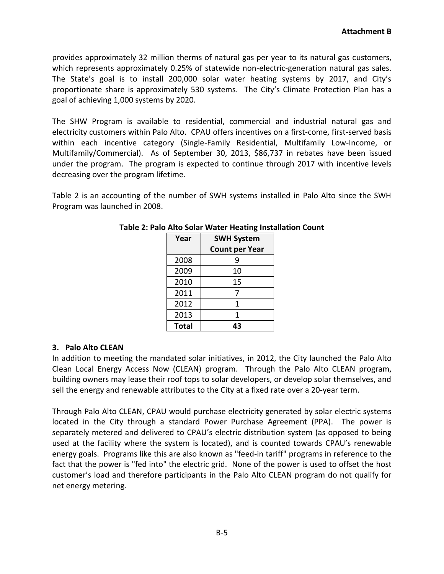provides approximately 32 million therms of natural gas per year to its natural gas customers, which represents approximately 0.25% of statewide non-electric-generation natural gas sales. The State's goal is to install 200,000 solar water heating systems by 2017, and City's proportionate share is approximately 530 systems. The City's Climate Protection Plan has a goal of achieving 1,000 systems by 2020.

The SHW Program is available to residential, commercial and industrial natural gas and electricity customers within Palo Alto. CPAU offers incentives on a first-come, first-served basis within each incentive category (Single-Family Residential, Multifamily Low-Income, or Multifamily/Commercial). As of September 30, 2013, \$86,737 in rebates have been issued under the program. The program is expected to continue through 2017 with incentive levels decreasing over the program lifetime.

Table 2 is an accounting of the number of SWH systems installed in Palo Alto since the SWH Program was launched in 2008.

| Year  | <b>SWH System</b>     |  |
|-------|-----------------------|--|
|       | <b>Count per Year</b> |  |
| 2008  |                       |  |
| 2009  | 10                    |  |
| 2010  | 15                    |  |
| 2011  |                       |  |
| 2012  | 1                     |  |
| 2013  | 1                     |  |
| Total | 43                    |  |

# **Table 2: Palo Alto Solar Water Heating Installation Count**

# **3. Palo Alto CLEAN**

In addition to meeting the mandated solar initiatives, in 2012, the City launched the Palo Alto Clean Local Energy Access Now (CLEAN) program. Through the Palo Alto CLEAN program, building owners may lease their roof tops to solar developers, or develop solar themselves, and sell the energy and renewable attributes to the City at a fixed rate over a 20-year term.

Through Palo Alto CLEAN, CPAU would purchase electricity generated by solar electric systems located in the City through a standard Power Purchase Agreement (PPA). The power is separately metered and delivered to CPAU's electric distribution system (as opposed to being used at the facility where the system is located), and is counted towards CPAU's renewable energy goals. Programs like this are also known as "feed-in tariff" programs in reference to the fact that the power is "fed into" the electric grid. None of the power is used to offset the host customer's load and therefore participants in the Palo Alto CLEAN program do not qualify for net energy metering.